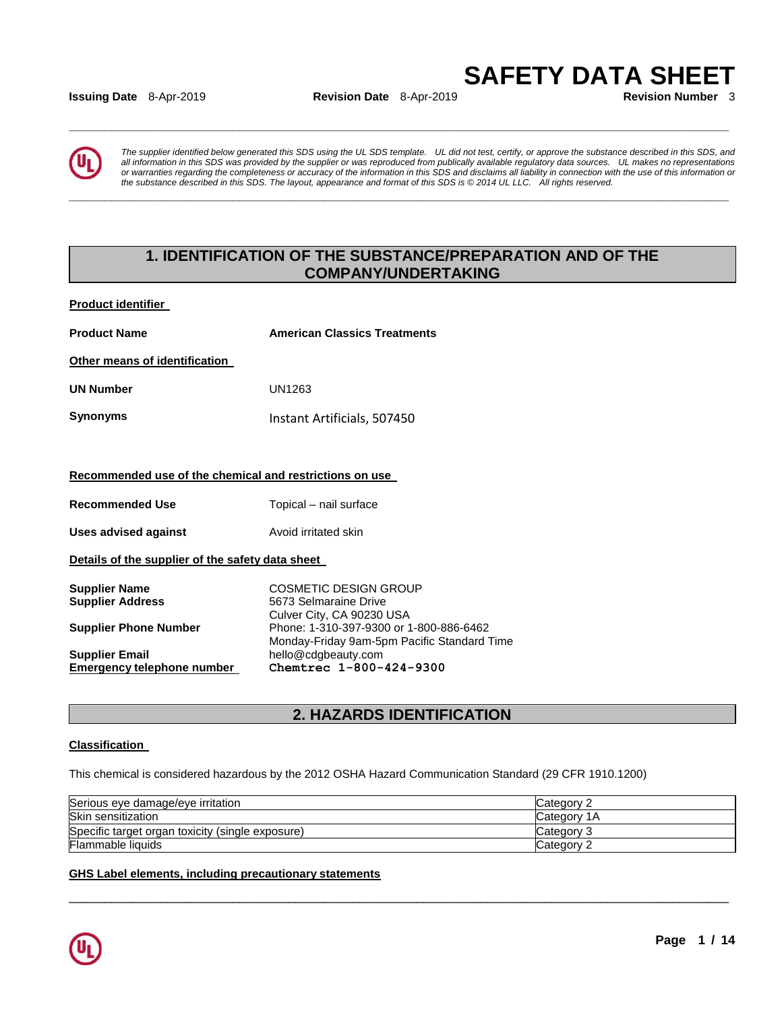**Issuing Date** 8-Apr-2019 **Revision Date** 8-Apr-2019

**\_\_\_\_\_\_\_\_\_\_\_\_\_\_\_\_\_\_\_\_\_\_\_\_\_\_\_\_\_\_\_\_\_\_\_\_\_\_\_\_\_\_\_\_\_\_\_\_\_\_\_\_\_\_\_\_\_\_\_\_\_\_\_\_\_\_\_\_\_\_\_\_\_\_\_\_\_\_\_\_\_\_\_\_\_\_\_\_\_\_\_\_\_** 

**\_\_\_\_\_\_\_\_\_\_\_\_\_\_\_\_\_\_\_\_\_\_\_\_\_\_\_\_\_\_\_\_\_\_\_\_\_\_\_\_\_\_\_\_\_\_\_\_\_\_\_\_\_\_\_\_\_\_\_\_\_\_\_\_\_\_\_\_\_\_\_\_\_\_\_\_\_\_\_\_\_\_\_\_\_\_\_\_\_\_\_\_\_** 

**SAFETY DATA SHEET**<br>**Revision Number** 3



*The supplier identified below generated this SDS using the UL SDS template. UL did not test, certify, or approve the substance described in this SDS, and all information in this SDS was provided by the supplier or was reproduced from publically available regulatory data sources. UL makes no representations or warranties regarding the completeness or accuracy of the information in this SDS and disclaims all liability in connection with the use of this information or the substance described in this SDS. The layout, appearance and format of this SDS is © 2014 UL LLC. All rights reserved.* 

# **1. IDENTIFICATION OF THE SUBSTANCE/PREPARATION AND OF THE COMPANY/UNDERTAKING**

**Product identifier** 

| <b>Product Name</b>                                     | <b>American Classics Treatments</b>                                                    |  |  |
|---------------------------------------------------------|----------------------------------------------------------------------------------------|--|--|
| Other means of identification                           |                                                                                        |  |  |
| <b>UN Number</b>                                        | UN1263                                                                                 |  |  |
| <b>Synonyms</b>                                         | Instant Artificials, 507450                                                            |  |  |
|                                                         |                                                                                        |  |  |
| Recommended use of the chemical and restrictions on use |                                                                                        |  |  |
| <b>Recommended Use</b>                                  | Topical - nail surface                                                                 |  |  |
| Uses advised against                                    | Avoid irritated skin                                                                   |  |  |
| Details of the supplier of the safety data sheet        |                                                                                        |  |  |
| <b>Supplier Name</b><br><b>Supplier Address</b>         | COSMETIC DESIGN GROUP<br>5673 Selmaraine Drive<br>Culver City, CA 90230 USA            |  |  |
| <b>Supplier Phone Number</b>                            | Phone: 1-310-397-9300 or 1-800-886-6462<br>Monday-Friday 9am-5pm Pacific Standard Time |  |  |
| <b>Supplier Email</b>                                   | hello@cdgbeauty.com                                                                    |  |  |
| Emergency telephone number                              | Chemtrec 1-800-424-9300                                                                |  |  |

# **2. HAZARDS IDENTIFICATION**

#### **Classification**

This chemical is considered hazardous by the 2012 OSHA Hazard Communication Standard (29 CFR 1910.1200)

| Serious eye damage/eye irritation                | Category 2  |
|--------------------------------------------------|-------------|
| Skin sensitization                               | Category 1A |
| Specific target organ toxicity (single exposure) | Category 3  |
| Flammable liquids                                | Category 2  |

\_\_\_\_\_\_\_\_\_\_\_\_\_\_\_\_\_\_\_\_\_\_\_\_\_\_\_\_\_\_\_\_\_\_\_\_\_\_\_\_\_\_\_\_\_\_\_\_\_\_\_\_\_\_\_\_\_\_\_\_\_\_\_\_\_\_\_\_\_\_\_\_\_\_\_\_\_\_\_\_\_\_\_\_\_\_\_\_\_\_\_\_\_

#### **GHS Label elements, including precautionary statements**

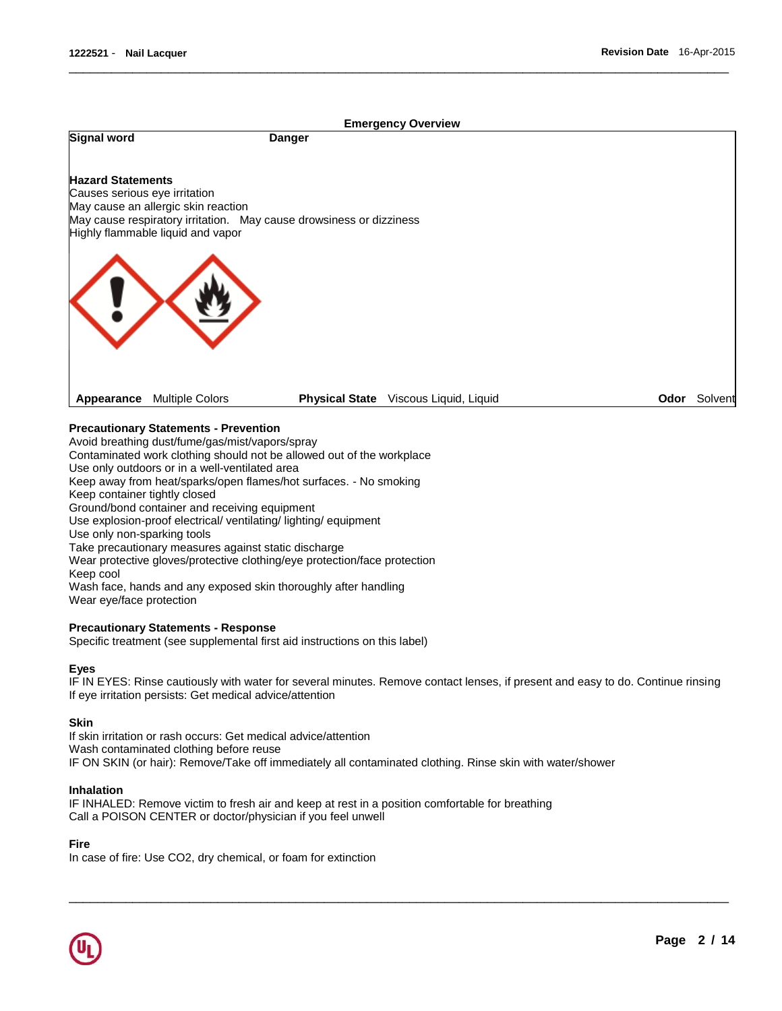

\_\_\_\_\_\_\_\_\_\_\_\_\_\_\_\_\_\_\_\_\_\_\_\_\_\_\_\_\_\_\_\_\_\_\_\_\_\_\_\_\_\_\_\_\_\_\_\_\_\_\_\_\_\_\_\_\_\_\_\_\_\_\_\_\_\_\_\_\_\_\_\_\_\_\_\_\_\_\_\_\_\_\_\_\_\_\_\_\_\_\_\_\_

#### **Precautionary Statements - Prevention**

Avoid breathing dust/fume/gas/mist/vapors/spray

Contaminated work clothing should not be allowed out of the workplace

Use only outdoors or in a well-ventilated area

Keep away from heat/sparks/open flames/hot surfaces. - No smoking

Keep container tightly closed

Ground/bond container and receiving equipment

Use explosion-proof electrical/ ventilating/ lighting/ equipment

Use only non-sparking tools

Take precautionary measures against static discharge

Wear protective gloves/protective clothing/eye protection/face protection

Keep cool

Wash face, hands and any exposed skin thoroughly after handling Wear eye/face protection

#### **Precautionary Statements - Response**

Specific treatment (see supplemental first aid instructions on this label)

#### **Eyes**

IF IN EYES: Rinse cautiously with water for several minutes. Remove contact lenses, if present and easy to do. Continue rinsing If eye irritation persists: Get medical advice/attention

\_\_\_\_\_\_\_\_\_\_\_\_\_\_\_\_\_\_\_\_\_\_\_\_\_\_\_\_\_\_\_\_\_\_\_\_\_\_\_\_\_\_\_\_\_\_\_\_\_\_\_\_\_\_\_\_\_\_\_\_\_\_\_\_\_\_\_\_\_\_\_\_\_\_\_\_\_\_\_\_\_\_\_\_\_\_\_\_\_\_\_\_\_

#### **Skin**

If skin irritation or rash occurs: Get medical advice/attention Wash contaminated clothing before reuse IF ON SKIN (or hair): Remove/Take off immediately all contaminated clothing. Rinse skin with water/shower

#### **Inhalation**

IF INHALED: Remove victim to fresh air and keep at rest in a position comfortable for breathing Call a POISON CENTER or doctor/physician if you feel unwell

#### **Fire**

In case of fire: Use CO2, dry chemical, or foam for extinction

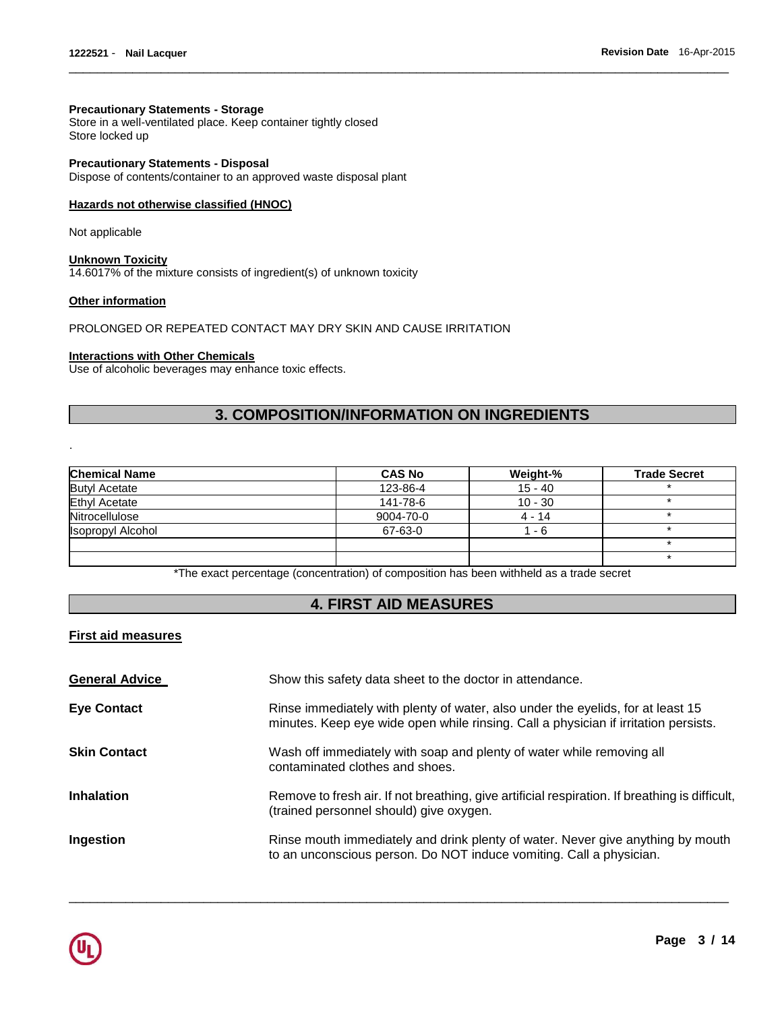#### **Precautionary Statements - Storage**

Store in a well-ventilated place. Keep container tightly closed Store locked up

**Precautionary Statements - Disposal** Dispose of contents/container to an approved waste disposal plant

#### **Hazards not otherwise classified (HNOC)**

Not applicable

**Unknown Toxicity** 14.6017% of the mixture consists of ingredient(s) of unknown toxicity

#### **Other information**

.

PROLONGED OR REPEATED CONTACT MAY DRY SKIN AND CAUSE IRRITATION

#### **Interactions with Other Chemicals**

Use of alcoholic beverages may enhance toxic effects.

# **3. COMPOSITION/INFORMATION ON INGREDIENTS**

\_\_\_\_\_\_\_\_\_\_\_\_\_\_\_\_\_\_\_\_\_\_\_\_\_\_\_\_\_\_\_\_\_\_\_\_\_\_\_\_\_\_\_\_\_\_\_\_\_\_\_\_\_\_\_\_\_\_\_\_\_\_\_\_\_\_\_\_\_\_\_\_\_\_\_\_\_\_\_\_\_\_\_\_\_\_\_\_\_\_\_\_\_

| <b>Chemical Name</b>     | <b>CAS No</b> | Weight-%  | <b>Trade Secret</b> |
|--------------------------|---------------|-----------|---------------------|
| <b>Butyl Acetate</b>     | 123-86-4      | $15 - 40$ |                     |
| <b>Ethyl Acetate</b>     | 141-78-6      | $10 - 30$ |                     |
| Nitrocellulose           | 9004-70-0     | $4 - 14$  |                     |
| <b>Isopropyl Alcohol</b> | 67-63-0       | 1 - 6     |                     |
|                          |               |           |                     |
|                          |               |           |                     |

\*The exact percentage (concentration) of composition has been withheld as a trade secret

## **4. FIRST AID MEASURES**

#### **First aid measures**

| <b>General Advice</b> | Show this safety data sheet to the doctor in attendance.                                                                                                               |
|-----------------------|------------------------------------------------------------------------------------------------------------------------------------------------------------------------|
| <b>Eye Contact</b>    | Rinse immediately with plenty of water, also under the eyelids, for at least 15<br>minutes. Keep eye wide open while rinsing. Call a physician if irritation persists. |
| <b>Skin Contact</b>   | Wash off immediately with soap and plenty of water while removing all<br>contaminated clothes and shoes.                                                               |
| <b>Inhalation</b>     | Remove to fresh air. If not breathing, give artificial respiration. If breathing is difficult,<br>(trained personnel should) give oxygen.                              |
| Ingestion             | Rinse mouth immediately and drink plenty of water. Never give anything by mouth<br>to an unconscious person. Do NOT induce vomiting. Call a physician.                 |

\_\_\_\_\_\_\_\_\_\_\_\_\_\_\_\_\_\_\_\_\_\_\_\_\_\_\_\_\_\_\_\_\_\_\_\_\_\_\_\_\_\_\_\_\_\_\_\_\_\_\_\_\_\_\_\_\_\_\_\_\_\_\_\_\_\_\_\_\_\_\_\_\_\_\_\_\_\_\_\_\_\_\_\_\_\_\_\_\_\_\_\_\_

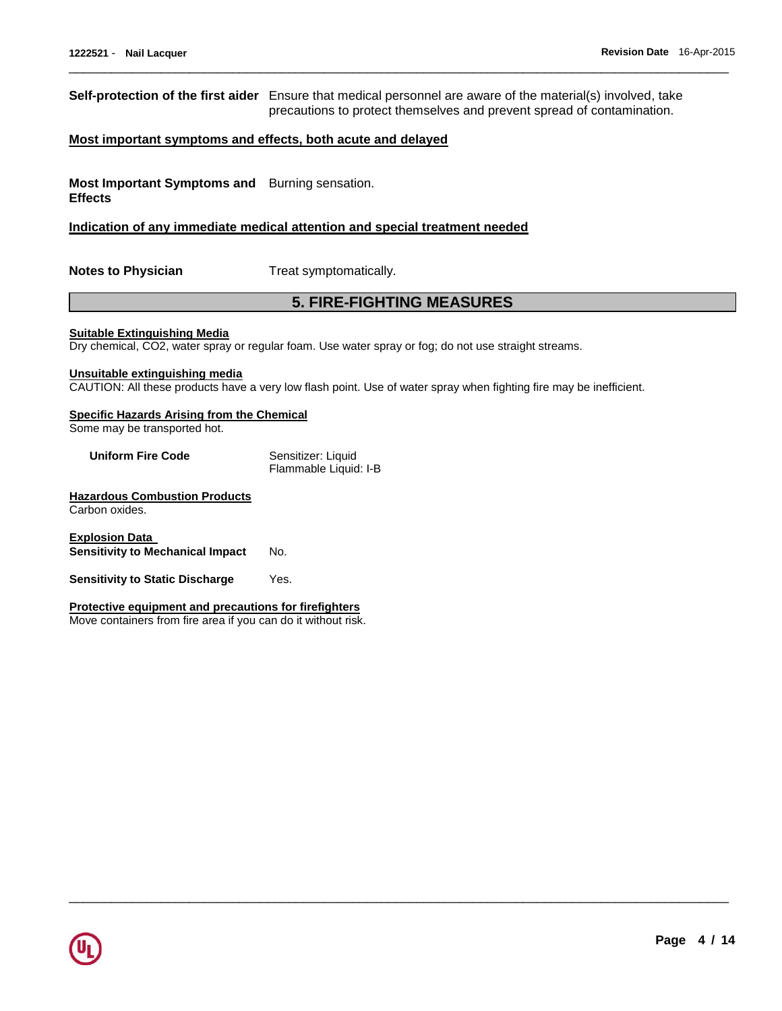**Self-protection of the first aider** Ensure that medical personnel are aware of the material(s) involved, take precautions to protect themselves and prevent spread of contamination.

\_\_\_\_\_\_\_\_\_\_\_\_\_\_\_\_\_\_\_\_\_\_\_\_\_\_\_\_\_\_\_\_\_\_\_\_\_\_\_\_\_\_\_\_\_\_\_\_\_\_\_\_\_\_\_\_\_\_\_\_\_\_\_\_\_\_\_\_\_\_\_\_\_\_\_\_\_\_\_\_\_\_\_\_\_\_\_\_\_\_\_\_\_

#### **Most important symptoms and effects, both acute and delayed**

**Most Important Symptoms and**  Burning sensation. **Effects** 

#### **Indication of any immediate medical attention and special treatment needed**

**Notes to Physician**  Treat symptomatically.

## **5. FIRE-FIGHTING MEASURES**

\_\_\_\_\_\_\_\_\_\_\_\_\_\_\_\_\_\_\_\_\_\_\_\_\_\_\_\_\_\_\_\_\_\_\_\_\_\_\_\_\_\_\_\_\_\_\_\_\_\_\_\_\_\_\_\_\_\_\_\_\_\_\_\_\_\_\_\_\_\_\_\_\_\_\_\_\_\_\_\_\_\_\_\_\_\_\_\_\_\_\_\_\_

**Suitable Extinguishing Media**

Dry chemical, CO2, water spray or regular foam. Use water spray or fog; do not use straight streams.

#### **Unsuitable extinguishing media**

CAUTION: All these products have a very low flash point. Use of water spray when fighting fire may be inefficient.

## **Specific Hazards Arising from the Chemical**

Some may be transported hot.

| <b>Uniform Fire Code</b> | Sensitizer: Liquid    |
|--------------------------|-----------------------|
|                          | Flammable Liquid: I-B |

#### **Hazardous Combustion Products** Carbon oxides.

**Explosion Data Sensitivity to Mechanical Impact** No.

**Sensitivity to Static Discharge** Yes.

#### **Protective equipment and precautions for firefighters**

Move containers from fire area if you can do it without risk.

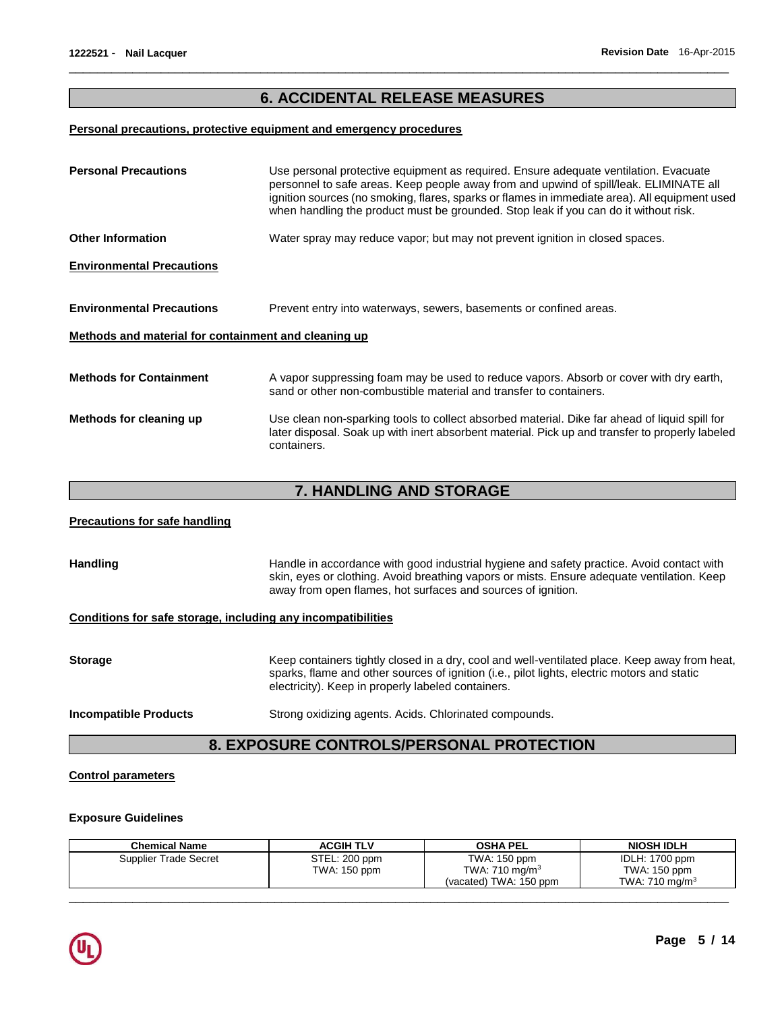# **6. ACCIDENTAL RELEASE MEASURES**

\_\_\_\_\_\_\_\_\_\_\_\_\_\_\_\_\_\_\_\_\_\_\_\_\_\_\_\_\_\_\_\_\_\_\_\_\_\_\_\_\_\_\_\_\_\_\_\_\_\_\_\_\_\_\_\_\_\_\_\_\_\_\_\_\_\_\_\_\_\_\_\_\_\_\_\_\_\_\_\_\_\_\_\_\_\_\_\_\_\_\_\_\_

#### **Personal precautions, protective equipment and emergency procedures**

| <b>Personal Precautions</b>                          | Use personal protective equipment as required. Ensure adequate ventilation. Evacuate<br>personnel to safe areas. Keep people away from and upwind of spill/leak. ELIMINATE all<br>ignition sources (no smoking, flares, sparks or flames in immediate area). All equipment used<br>when handling the product must be grounded. Stop leak if you can do it without risk. |
|------------------------------------------------------|-------------------------------------------------------------------------------------------------------------------------------------------------------------------------------------------------------------------------------------------------------------------------------------------------------------------------------------------------------------------------|
| <b>Other Information</b>                             | Water spray may reduce vapor; but may not prevent ignition in closed spaces.                                                                                                                                                                                                                                                                                            |
| <b>Environmental Precautions</b>                     |                                                                                                                                                                                                                                                                                                                                                                         |
| <b>Environmental Precautions</b>                     | Prevent entry into waterways, sewers, basements or confined areas.                                                                                                                                                                                                                                                                                                      |
| Methods and material for containment and cleaning up |                                                                                                                                                                                                                                                                                                                                                                         |
| <b>Methods for Containment</b>                       | A vapor suppressing foam may be used to reduce vapors. Absorb or cover with dry earth,<br>sand or other non-combustible material and transfer to containers.                                                                                                                                                                                                            |
| Methods for cleaning up                              | Use clean non-sparking tools to collect absorbed material. Dike far ahead of liquid spill for<br>later disposal. Soak up with inert absorbent material. Pick up and transfer to properly labeled<br>containers.                                                                                                                                                         |

# **7. HANDLING AND STORAGE**

#### **Precautions for safe handling**

Handling **Handle in accordance with good industrial hygiene and safety practice. Avoid contact with** skin, eyes or clothing. Avoid breathing vapors or mists. Ensure adequate ventilation. Keep away from open flames, hot surfaces and sources of ignition.

# **Conditions for safe storage, including any incompatibilities**

| <b>Storage</b>               | Keep containers tightly closed in a dry, cool and well-ventilated place. Keep away from heat,<br>sparks, flame and other sources of ignition (i.e., pilot lights, electric motors and static<br>electricity). Keep in properly labeled containers. |
|------------------------------|----------------------------------------------------------------------------------------------------------------------------------------------------------------------------------------------------------------------------------------------------|
| <b>Incompatible Products</b> | Strong oxidizing agents. Acids. Chlorinated compounds.                                                                                                                                                                                             |

# **8. EXPOSURE CONTROLS/PERSONAL PROTECTION**

#### **Control parameters**

#### **Exposure Guidelines**

| <b>Chemical Name</b>  | <b>ACGIH TLV</b>              | <b>OSHA PEL</b>                                                      | <b>NIOSH IDLH</b>                                   |
|-----------------------|-------------------------------|----------------------------------------------------------------------|-----------------------------------------------------|
| Supplier Trade Secret | STEL: 200 ppm<br>TWA: 150 ppm | TWA: 150 ppm<br>TWA: 710 mg/m <sup>3</sup><br>(vacated) TWA: 150 ppm | IDLH: 1700 ppm<br>TWA: 150 ppm<br>TWA: 710 mg/m $3$ |
|                       |                               |                                                                      |                                                     |

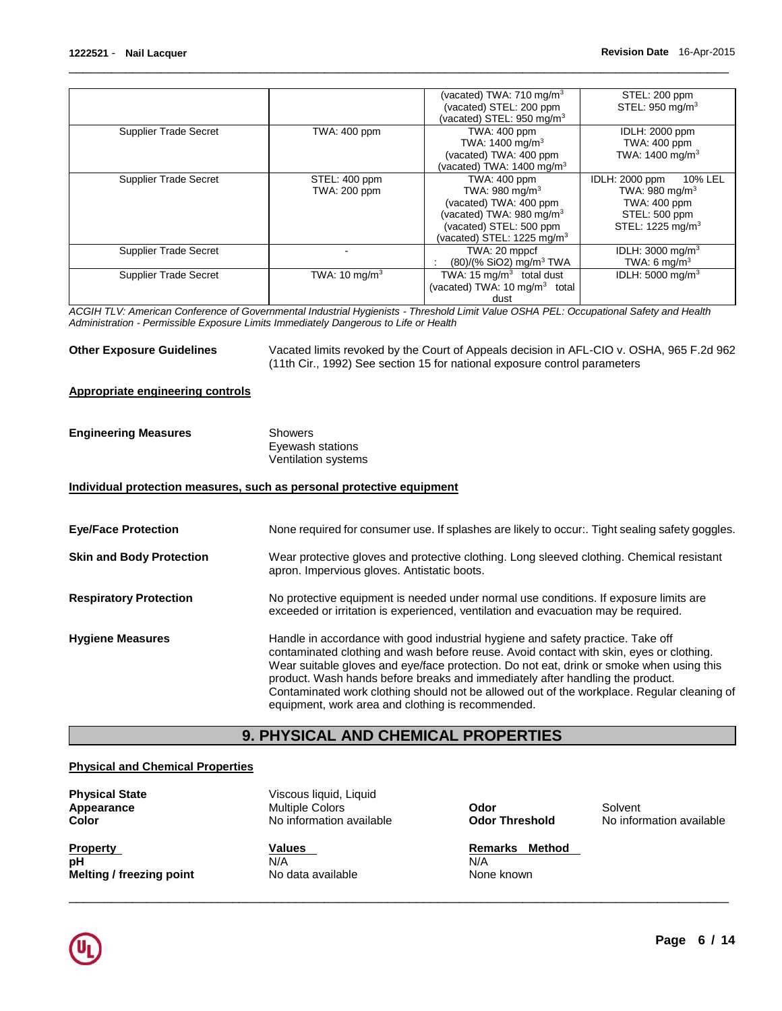|                              |                           | (vacated) TWA: 710 mg/m <sup>3</sup>      | STEL: 200 ppm                |
|------------------------------|---------------------------|-------------------------------------------|------------------------------|
|                              |                           | (vacated) STEL: 200 ppm                   | STEL: 950 mg/m <sup>3</sup>  |
|                              |                           | (vacated) STEL: $950 \text{ mg/m}^3$      |                              |
| <b>Supplier Trade Secret</b> | <b>TWA: 400 ppm</b>       | <b>TWA: 400 ppm</b>                       | IDLH: 2000 ppm               |
|                              |                           | TWA: 1400 mg/m <sup>3</sup>               | <b>TWA: 400 ppm</b>          |
|                              |                           | (vacated) TWA: 400 ppm                    | TWA: 1400 mg/m <sup>3</sup>  |
|                              |                           | (vacated) TWA: 1400 mg/m $3$              |                              |
| <b>Supplier Trade Secret</b> | STEL: 400 ppm             | TWA: 400 ppm                              | IDLH: 2000 ppm<br>10% LEL    |
|                              | TWA: 200 ppm              | TWA: $980 \text{ mg/m}^3$                 | TWA: 980 mg/m <sup>3</sup>   |
|                              |                           | (vacated) TWA: 400 ppm                    | <b>TWA: 400 ppm</b>          |
|                              |                           | (vacated) TWA: 980 mg/m <sup>3</sup>      | STEL: 500 ppm                |
|                              |                           | (vacated) STEL: 500 ppm                   | STEL: 1225 mg/m <sup>3</sup> |
|                              |                           | (vacated) STEL: 1225 mg/m $3$             |                              |
| <b>Supplier Trade Secret</b> |                           | TWA: 20 mppcf                             | IDLH: $3000 \text{ mg/m}^3$  |
|                              |                           | (80)/(% SiO2) mg/m <sup>3</sup> TWA       | TWA: 6 mg/m <sup>3</sup>     |
| <b>Supplier Trade Secret</b> | TWA: 10 mg/m <sup>3</sup> | TWA: 15 $mq/m3$ total dust                | IDLH: $5000 \text{ mg/m}^3$  |
|                              |                           | (vacated) TWA: 10 mg/m <sup>3</sup> total |                              |
|                              |                           | dust                                      |                              |

\_\_\_\_\_\_\_\_\_\_\_\_\_\_\_\_\_\_\_\_\_\_\_\_\_\_\_\_\_\_\_\_\_\_\_\_\_\_\_\_\_\_\_\_\_\_\_\_\_\_\_\_\_\_\_\_\_\_\_\_\_\_\_\_\_\_\_\_\_\_\_\_\_\_\_\_\_\_\_\_\_\_\_\_\_\_\_\_\_\_\_\_\_

*ACGIH TLV: American Conference of Governmental Industrial Hygienists - Threshold Limit Value OSHA PEL: Occupational Safety and Health Administration - Permissible Exposure Limits Immediately Dangerous to Life or Health* 

**Other Exposure Guidelines** Vacated limits revoked by the Court of Appeals decision in AFL-CIO v. OSHA, 965 F.2d 962 (11th Cir., 1992) See section 15 for national exposure control parameters

#### **Appropriate engineering controls**

| <b>Engineering Measures</b> | Showers             |
|-----------------------------|---------------------|
|                             | Eyewash stations    |
|                             | Ventilation systems |

#### **Individual protection measures, such as personal protective equipment**

| <b>Eye/Face Protection</b>      | None required for consumer use. If splashes are likely to occur:. Tight sealing safety goggles.                                                                                                                                                                                                                                                                                                                                                                                                            |
|---------------------------------|------------------------------------------------------------------------------------------------------------------------------------------------------------------------------------------------------------------------------------------------------------------------------------------------------------------------------------------------------------------------------------------------------------------------------------------------------------------------------------------------------------|
| <b>Skin and Body Protection</b> | Wear protective gloves and protective clothing. Long sleeved clothing. Chemical resistant<br>apron. Impervious gloves. Antistatic boots.                                                                                                                                                                                                                                                                                                                                                                   |
| <b>Respiratory Protection</b>   | No protective equipment is needed under normal use conditions. If exposure limits are<br>exceeded or irritation is experienced, ventilation and evacuation may be required.                                                                                                                                                                                                                                                                                                                                |
| <b>Hygiene Measures</b>         | Handle in accordance with good industrial hygiene and safety practice. Take off<br>contaminated clothing and wash before reuse. Avoid contact with skin, eyes or clothing.<br>Wear suitable gloves and eye/face protection. Do not eat, drink or smoke when using this<br>product. Wash hands before breaks and immediately after handling the product.<br>Contaminated work clothing should not be allowed out of the workplace. Regular cleaning of<br>equipment, work area and clothing is recommended. |

# **9. PHYSICAL AND CHEMICAL PROPERTIES**

#### **Physical and Chemical Properties**

| <b>Physical State</b><br>Appearance<br>Color             | Viscous liquid, Liquid<br><b>Multiple Colors</b><br>No information available | Odor<br><b>Odor Threshold</b>                 | Solvent<br>No information available |
|----------------------------------------------------------|------------------------------------------------------------------------------|-----------------------------------------------|-------------------------------------|
| <b>Property</b><br>рH<br><b>Melting / freezing point</b> | Values<br>N/A<br>No data available                                           | Method<br><b>Remarks</b><br>N/A<br>None known |                                     |

\_\_\_\_\_\_\_\_\_\_\_\_\_\_\_\_\_\_\_\_\_\_\_\_\_\_\_\_\_\_\_\_\_\_\_\_\_\_\_\_\_\_\_\_\_\_\_\_\_\_\_\_\_\_\_\_\_\_\_\_\_\_\_\_\_\_\_\_\_\_\_\_\_\_\_\_\_\_\_\_\_\_\_\_\_\_\_\_\_\_\_\_\_

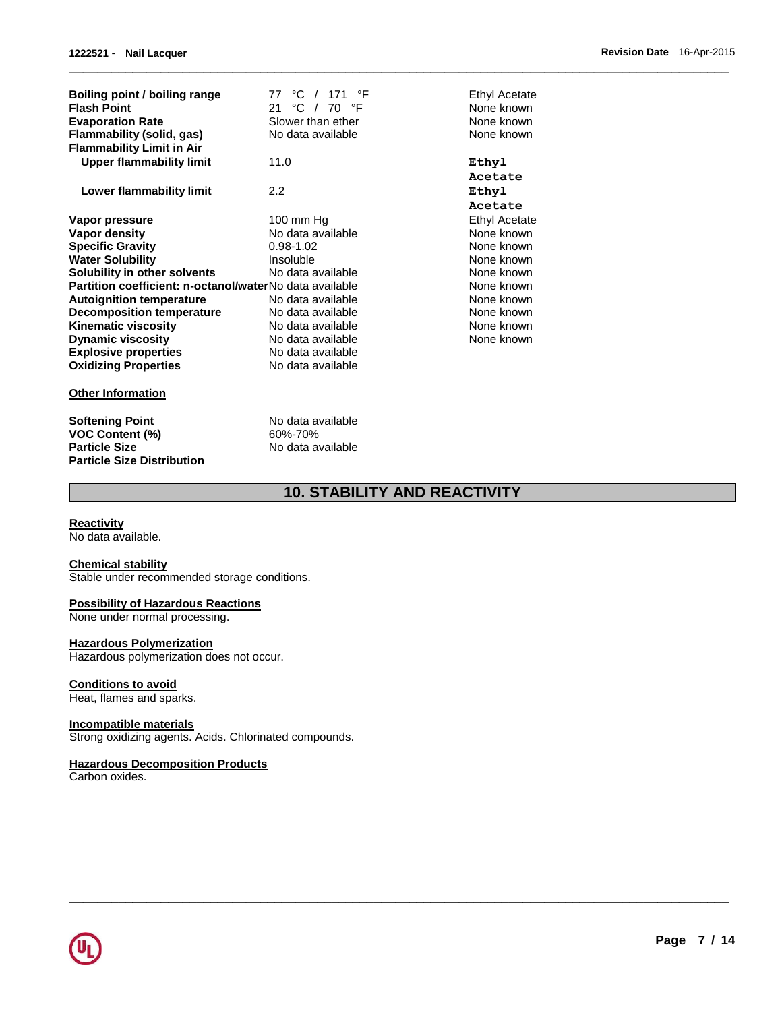| Boiling point / boiling range<br><b>Flash Point</b><br><b>Evaporation Rate</b><br>Flammability (solid, gas)<br><b>Flammability Limit in Air</b> | 77 °C / 171 °F<br>21 °C / 70 °F<br>Slower than ether<br>No data available | Ethyl Acetate<br>None known<br>None known<br>None known |
|-------------------------------------------------------------------------------------------------------------------------------------------------|---------------------------------------------------------------------------|---------------------------------------------------------|
| Upper flammability limit                                                                                                                        | 11.0                                                                      | Ethyl                                                   |
|                                                                                                                                                 |                                                                           | Acetate                                                 |
| Lower flammability limit                                                                                                                        | 2.2                                                                       | Ethyl                                                   |
|                                                                                                                                                 |                                                                           | Acetate                                                 |
| Vapor pressure                                                                                                                                  | 100 mm $Hg$                                                               | Ethyl Acetate                                           |
| Vapor density                                                                                                                                   | No data available                                                         | None known                                              |
| <b>Specific Gravity</b>                                                                                                                         | $0.98 - 1.02$                                                             | None known                                              |
| <b>Water Solubility</b>                                                                                                                         | Insoluble                                                                 | None known                                              |
| Solubility in other solvents                                                                                                                    | No data available                                                         | None known                                              |
| Partition coefficient: n-octanol/waterNo data available                                                                                         |                                                                           | None known                                              |
| <b>Autoignition temperature</b>                                                                                                                 | No data available                                                         | None known                                              |
| <b>Decomposition temperature</b>                                                                                                                | No data available                                                         | None known                                              |
| <b>Kinematic viscosity</b>                                                                                                                      | No data available                                                         | None known                                              |
| <b>Dynamic viscosity</b>                                                                                                                        | No data available                                                         | None known                                              |
| <b>Explosive properties</b>                                                                                                                     | No data available                                                         |                                                         |
| <b>Oxidizing Properties</b>                                                                                                                     | No data available                                                         |                                                         |
| <b>Other Information</b>                                                                                                                        |                                                                           |                                                         |
| <b>Softening Point</b>                                                                                                                          | No data available                                                         |                                                         |

# **10. STABILITY AND REACTIVITY**

\_\_\_\_\_\_\_\_\_\_\_\_\_\_\_\_\_\_\_\_\_\_\_\_\_\_\_\_\_\_\_\_\_\_\_\_\_\_\_\_\_\_\_\_\_\_\_\_\_\_\_\_\_\_\_\_\_\_\_\_\_\_\_\_\_\_\_\_\_\_\_\_\_\_\_\_\_\_\_\_\_\_\_\_\_\_\_\_\_\_\_\_\_

\_\_\_\_\_\_\_\_\_\_\_\_\_\_\_\_\_\_\_\_\_\_\_\_\_\_\_\_\_\_\_\_\_\_\_\_\_\_\_\_\_\_\_\_\_\_\_\_\_\_\_\_\_\_\_\_\_\_\_\_\_\_\_\_\_\_\_\_\_\_\_\_\_\_\_\_\_\_\_\_\_\_\_\_\_\_\_\_\_\_\_\_\_

#### **Reactivity**

No data available.

**Particle Size Distribution** 

#### **Chemical stability**

Stable under recommended storage conditions.

**VOC Content (%)** 60%-70% **Particle Size**  $\overrightarrow{A}$  No data available

#### **Possibility of Hazardous Reactions**

None under normal processing.

#### **Hazardous Polymerization**

Hazardous polymerization does not occur.

#### **Conditions to avoid**

Heat, flames and sparks.

## **Incompatible materials**

Strong oxidizing agents. Acids. Chlorinated compounds.

#### **Hazardous Decomposition Products**

Carbon oxides.

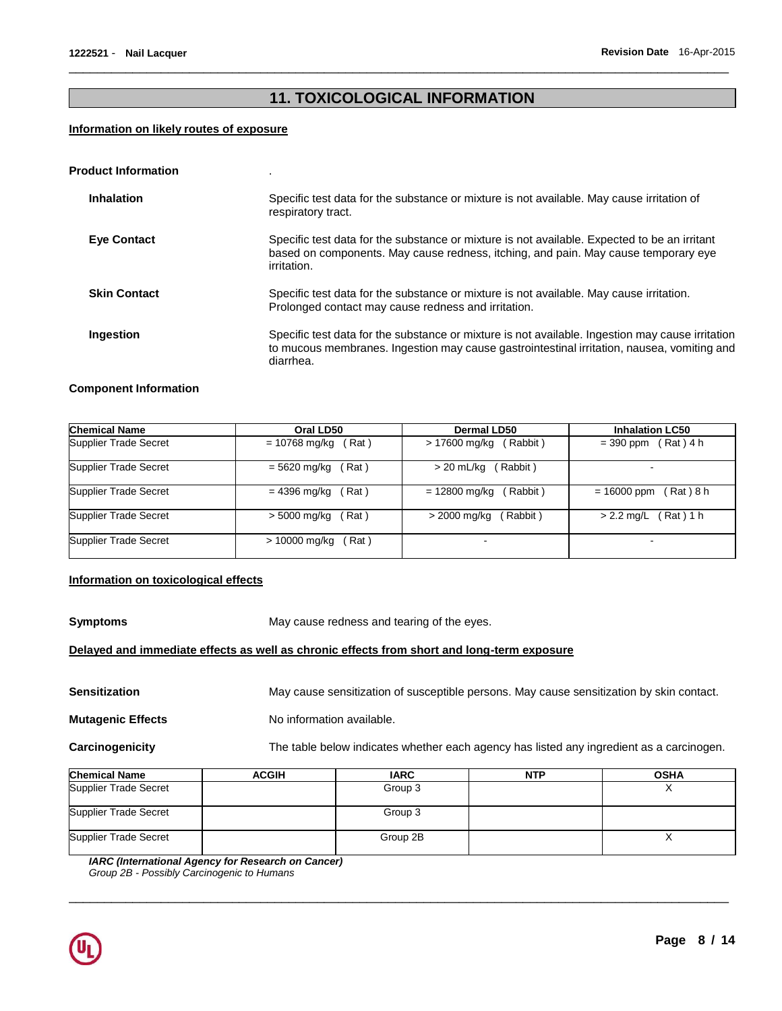# **11. TOXICOLOGICAL INFORMATION**

\_\_\_\_\_\_\_\_\_\_\_\_\_\_\_\_\_\_\_\_\_\_\_\_\_\_\_\_\_\_\_\_\_\_\_\_\_\_\_\_\_\_\_\_\_\_\_\_\_\_\_\_\_\_\_\_\_\_\_\_\_\_\_\_\_\_\_\_\_\_\_\_\_\_\_\_\_\_\_\_\_\_\_\_\_\_\_\_\_\_\_\_\_

#### **Information on likely routes of exposure**

| <b>Product Information</b> |                                                                                                                                                                                                             |
|----------------------------|-------------------------------------------------------------------------------------------------------------------------------------------------------------------------------------------------------------|
| <b>Inhalation</b>          | Specific test data for the substance or mixture is not available. May cause irritation of<br>respiratory tract.                                                                                             |
| <b>Eye Contact</b>         | Specific test data for the substance or mixture is not available. Expected to be an irritant<br>based on components. May cause redness, itching, and pain. May cause temporary eye<br>irritation.           |
| <b>Skin Contact</b>        | Specific test data for the substance or mixture is not available. May cause irritation.<br>Prolonged contact may cause redness and irritation.                                                              |
| Ingestion                  | Specific test data for the substance or mixture is not available. Ingestion may cause irritation<br>to mucous membranes. Ingestion may cause gastrointestinal irritation, nausea, vomiting and<br>diarrhea. |

#### **Component Information**

| <b>Chemical Name</b>  | Oral LD50              | Dermal LD50             | <b>Inhalation LC50</b> |
|-----------------------|------------------------|-------------------------|------------------------|
| Supplier Trade Secret | (Rat)                  | (Rabbit)                | (Rat) 4 h              |
|                       | $= 10768$ mg/kg        | > 17600 mg/kg           | $=$ 390 ppm            |
| Supplier Trade Secret | $= 5620$ mg/kg<br>Rat) | $> 20$ mL/kg<br>Rabbit) |                        |
| Supplier Trade Secret | = 4396 mg/kg           | = 12800 mg/kg           | (Rat)8 h               |
|                       | Rat)                   | (Rabbit)                | $= 16000$ ppm          |
| Supplier Trade Secret | > 5000 mg/kg           | (Rabbit)                | (Rat ) 1 h             |
|                       | Rat)                   | > 2000 mg/kg            | $> 2.2$ mg/L           |
| Supplier Trade Secret | > 10000 mg/kg<br>(Rat) |                         |                        |

#### **Information on toxicological effects**

**Symptoms May cause redness and tearing of the eyes.** 

## **Delayed and immediate effects as well as chronic effects from short and long-term exposure**

Sensitization **May cause sensitization of susceptible persons.** May cause sensitization by skin contact.

**Mutagenic Effects No information available.** 

**Carcinogenicity** The table below indicates whether each agency has listed any ingredient as a carcinogen.

| <b>Chemical Name</b>  | <b>ACGIH</b> | <b>IARC</b> | <b>NTP</b> | <b>OSHA</b> |
|-----------------------|--------------|-------------|------------|-------------|
| Supplier Trade Secret |              | Group 3     |            |             |
| Supplier Trade Secret |              | Group 3     |            |             |
| Supplier Trade Secret |              | Group 2B    |            |             |

\_\_\_\_\_\_\_\_\_\_\_\_\_\_\_\_\_\_\_\_\_\_\_\_\_\_\_\_\_\_\_\_\_\_\_\_\_\_\_\_\_\_\_\_\_\_\_\_\_\_\_\_\_\_\_\_\_\_\_\_\_\_\_\_\_\_\_\_\_\_\_\_\_\_\_\_\_\_\_\_\_\_\_\_\_\_\_\_\_\_\_\_\_

*IARC (International Agency for Research on Cancer) Group 2B - Possibly Carcinogenic to Humans*

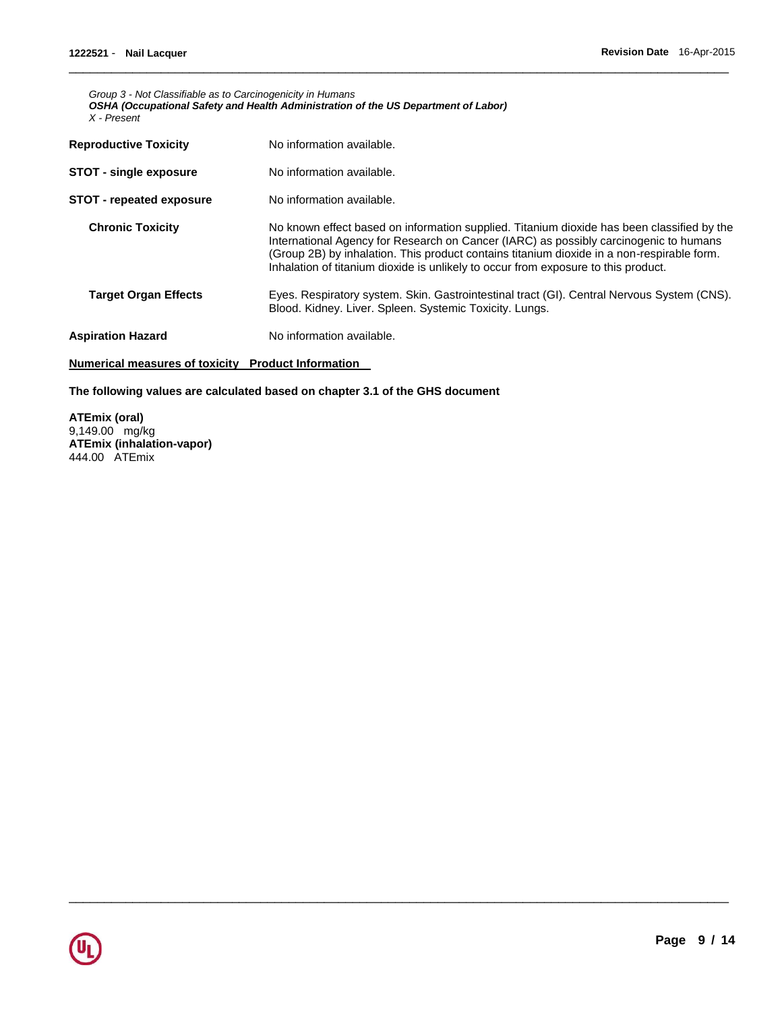*Group 3 - Not Classifiable as to Carcinogenicity in Humans OSHA (Occupational Safety and Health Administration of the US Department of Labor) X - Present* 

| No information available.                                                                                                                                                                                                                                                                                                                                               |
|-------------------------------------------------------------------------------------------------------------------------------------------------------------------------------------------------------------------------------------------------------------------------------------------------------------------------------------------------------------------------|
| No information available.                                                                                                                                                                                                                                                                                                                                               |
| No information available.                                                                                                                                                                                                                                                                                                                                               |
| No known effect based on information supplied. Titanium dioxide has been classified by the<br>International Agency for Research on Cancer (IARC) as possibly carcinogenic to humans<br>(Group 2B) by inhalation. This product contains titanium dioxide in a non-respirable form.<br>Inhalation of titanium dioxide is unlikely to occur from exposure to this product. |
| Eyes. Respiratory system. Skin. Gastrointestinal tract (GI). Central Nervous System (CNS).<br>Blood. Kidney. Liver. Spleen. Systemic Toxicity. Lungs.                                                                                                                                                                                                                   |
| No information available.                                                                                                                                                                                                                                                                                                                                               |
|                                                                                                                                                                                                                                                                                                                                                                         |

\_\_\_\_\_\_\_\_\_\_\_\_\_\_\_\_\_\_\_\_\_\_\_\_\_\_\_\_\_\_\_\_\_\_\_\_\_\_\_\_\_\_\_\_\_\_\_\_\_\_\_\_\_\_\_\_\_\_\_\_\_\_\_\_\_\_\_\_\_\_\_\_\_\_\_\_\_\_\_\_\_\_\_\_\_\_\_\_\_\_\_\_\_

\_\_\_\_\_\_\_\_\_\_\_\_\_\_\_\_\_\_\_\_\_\_\_\_\_\_\_\_\_\_\_\_\_\_\_\_\_\_\_\_\_\_\_\_\_\_\_\_\_\_\_\_\_\_\_\_\_\_\_\_\_\_\_\_\_\_\_\_\_\_\_\_\_\_\_\_\_\_\_\_\_\_\_\_\_\_\_\_\_\_\_\_\_

### **Numerical measures of toxicity Product Information**

#### **The following values are calculated based on chapter 3.1 of the GHS document**

**ATEmix (oral)** 9,149.00 mg/kg **ATEmix (inhalation-vapor)** 444.00 ATEmix

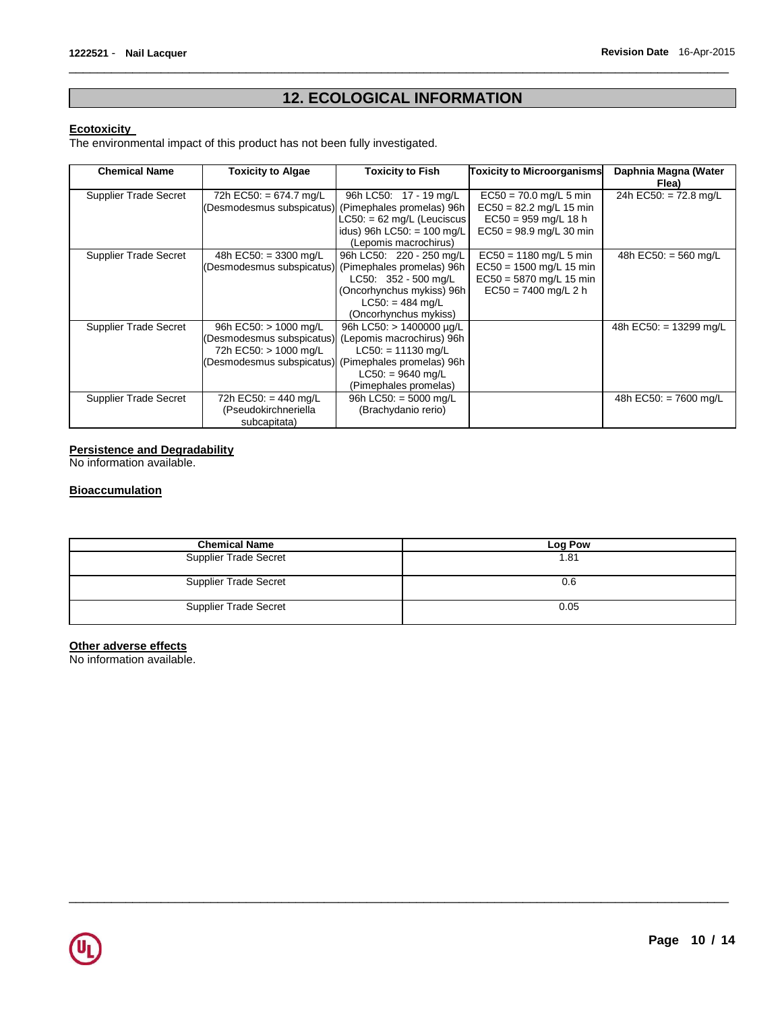# **12. ECOLOGICAL INFORMATION**

\_\_\_\_\_\_\_\_\_\_\_\_\_\_\_\_\_\_\_\_\_\_\_\_\_\_\_\_\_\_\_\_\_\_\_\_\_\_\_\_\_\_\_\_\_\_\_\_\_\_\_\_\_\_\_\_\_\_\_\_\_\_\_\_\_\_\_\_\_\_\_\_\_\_\_\_\_\_\_\_\_\_\_\_\_\_\_\_\_\_\_\_\_

#### **Ecotoxicity**

The environmental impact of this product has not been fully investigated.

| <b>Chemical Name</b>         | <b>Toxicity to Algae</b>                            | Toxicity to Fish              | <b>Toxicity to Microorganisms</b> | Daphnia Magna (Water             |
|------------------------------|-----------------------------------------------------|-------------------------------|-----------------------------------|----------------------------------|
|                              |                                                     |                               |                                   | Flea)                            |
| Supplier Trade Secret        | 72h EC50: = 674.7 mg/L                              | 96h LC50: 17 - 19 mg/L        | $EC50 = 70.0$ mg/L 5 min          | 24h EC50: $= 72.8$ mg/L          |
|                              | (Desmodesmus subspicatus)                           | (Pimephales promelas) 96h     | $EC50 = 82.2$ mg/L 15 min         |                                  |
|                              |                                                     | $LC50: = 62$ mg/L (Leuciscus  | $EC50 = 959$ mg/L 18 h            |                                  |
|                              |                                                     | idus) 96h LC50: = 100 mg/L    | $EC50 = 98.9$ mg/L 30 min         |                                  |
|                              |                                                     | (Lepomis macrochirus)         |                                   |                                  |
| Supplier Trade Secret        | 48h EC50: $=$ 3300 mg/L                             | 96h LC50: 220 - 250 mg/L      | $EC50 = 1180$ mg/L 5 min          | 48h EC50: $=$ 560 mg/L           |
|                              | (Desmodesmus subspicatus) (Pimephales promelas) 96h |                               | EC50 = 1500 mg/L 15 min           |                                  |
|                              |                                                     | $LC50: 352 - 500$ mg/L        | EC50 = 5870 mg/L 15 min           |                                  |
|                              |                                                     | (Oncorhynchus mykiss) 96h     | $EC50 = 7400$ mg/L 2 h            |                                  |
|                              |                                                     | $LC50: = 484$ mg/L            |                                   |                                  |
|                              |                                                     | (Oncorhynchus mykiss)         |                                   |                                  |
| Supplier Trade Secret        | 96h EC50: $> 1000$ mg/L                             | 96h LC50: $> 1400000 \mu q/L$ |                                   | 48h EC50: = $13299 \text{ mg/L}$ |
|                              | (Desmodesmus subspicatus)                           | (Lepomis macrochirus) 96h     |                                   |                                  |
|                              | 72h EC50: > 1000 mg/L                               | $LC50: = 11130$ mg/L          |                                   |                                  |
|                              | (Desmodesmus subspicatus) (Pimephales promelas) 96h |                               |                                   |                                  |
|                              |                                                     | $LC50: = 9640$ mg/L           |                                   |                                  |
|                              |                                                     | (Pimephales promelas)         |                                   |                                  |
| <b>Supplier Trade Secret</b> | 72h EC50: = 440 mg/L                                | 96h LC50: $=$ 5000 mg/L       |                                   | 48h EC50: = 7600 mg/L            |
|                              | (Pseudokirchneriella                                | (Brachydanio rerio)           |                                   |                                  |
|                              | subcapitata)                                        |                               |                                   |                                  |

## **Persistence and Degradability**

No information available.

#### **Bioaccumulation**

| <b>Chemical Name</b>         | Log Pow |
|------------------------------|---------|
| <b>Supplier Trade Secret</b> | 1.81    |
| Supplier Trade Secret        | 0.6     |
| <b>Supplier Trade Secret</b> | 0.05    |

\_\_\_\_\_\_\_\_\_\_\_\_\_\_\_\_\_\_\_\_\_\_\_\_\_\_\_\_\_\_\_\_\_\_\_\_\_\_\_\_\_\_\_\_\_\_\_\_\_\_\_\_\_\_\_\_\_\_\_\_\_\_\_\_\_\_\_\_\_\_\_\_\_\_\_\_\_\_\_\_\_\_\_\_\_\_\_\_\_\_\_\_\_

## **Other adverse effects**

No information available.

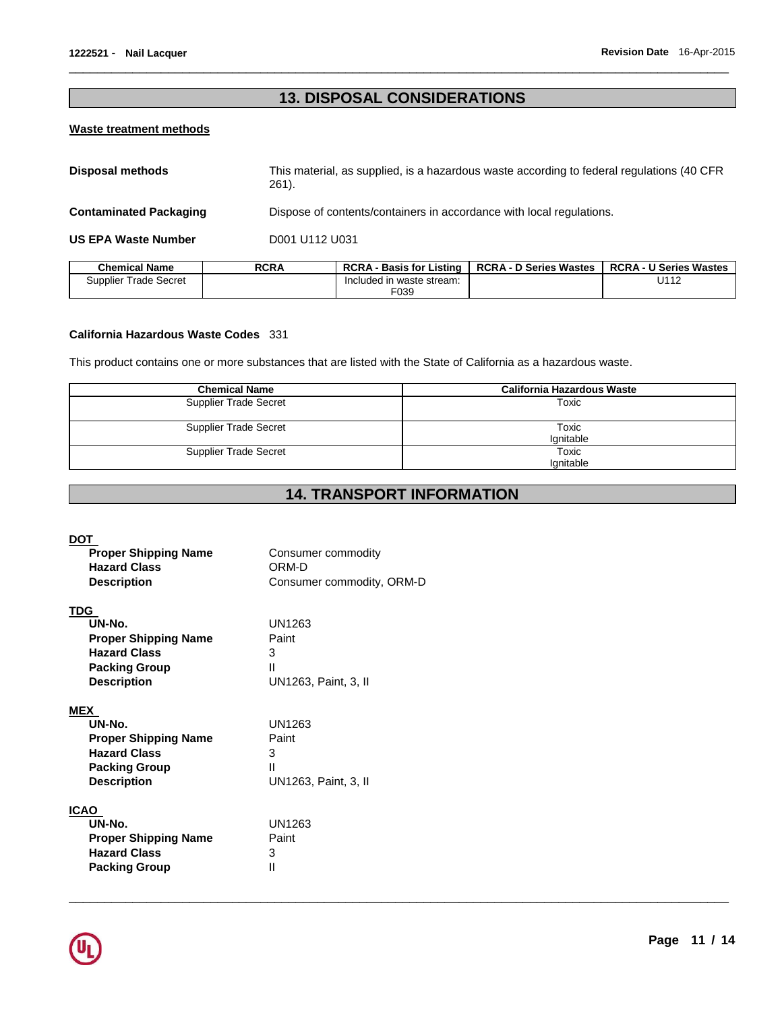# **13. DISPOSAL CONSIDERATIONS**

\_\_\_\_\_\_\_\_\_\_\_\_\_\_\_\_\_\_\_\_\_\_\_\_\_\_\_\_\_\_\_\_\_\_\_\_\_\_\_\_\_\_\_\_\_\_\_\_\_\_\_\_\_\_\_\_\_\_\_\_\_\_\_\_\_\_\_\_\_\_\_\_\_\_\_\_\_\_\_\_\_\_\_\_\_\_\_\_\_\_\_\_\_

#### **Waste treatment methods**

| <b>Disposal methods</b>       | $261$ ).    | This material, as supplied, is a hazardous waste according to federal regulations (40 CFR |                               |                               |
|-------------------------------|-------------|-------------------------------------------------------------------------------------------|-------------------------------|-------------------------------|
| <b>Contaminated Packaging</b> |             | Dispose of contents/containers in accordance with local regulations.                      |                               |                               |
| <b>US EPA Waste Number</b>    |             | D001 U112 U031                                                                            |                               |                               |
| <b>Chemical Name</b>          | <b>RCRA</b> | <b>RCRA - Basis for Listing</b>                                                           | <b>RCRA - D Series Wastes</b> | <b>RCRA - U Series Wastes</b> |
| Supplier Trade Secret         |             | Included in waste stream:                                                                 |                               | U112                          |

F039

#### **California Hazardous Waste Codes** 331

This product contains one or more substances that are listed with the State of California as a hazardous waste.

| <b>Chemical Name</b>         | California Hazardous Waste |
|------------------------------|----------------------------|
| <b>Supplier Trade Secret</b> | Toxic                      |
| <b>Supplier Trade Secret</b> | Toxic<br>Ignitable         |
| <b>Supplier Trade Secret</b> | Toxic<br>Ignitable         |

# **14. TRANSPORT INFORMATION**

\_\_\_\_\_\_\_\_\_\_\_\_\_\_\_\_\_\_\_\_\_\_\_\_\_\_\_\_\_\_\_\_\_\_\_\_\_\_\_\_\_\_\_\_\_\_\_\_\_\_\_\_\_\_\_\_\_\_\_\_\_\_\_\_\_\_\_\_\_\_\_\_\_\_\_\_\_\_\_\_\_\_\_\_\_\_\_\_\_\_\_\_\_

#### **DOT**

| <b>Proper Shipping Name</b><br><b>Hazard Class</b>                                                                       | Consumer commodity<br>ORM-D                       |
|--------------------------------------------------------------------------------------------------------------------------|---------------------------------------------------|
| <b>Description</b>                                                                                                       | Consumer commodity, ORM-D                         |
| TDG                                                                                                                      |                                                   |
| UN-No.                                                                                                                   | UN1263                                            |
| <b>Proper Shipping Name</b>                                                                                              | Paint                                             |
| <b>Hazard Class</b>                                                                                                      | 3                                                 |
| <b>Packing Group</b>                                                                                                     | Ш                                                 |
| <b>Description</b>                                                                                                       | UN1263, Paint, 3, II                              |
| <b>MEX</b><br>UN-No.<br><b>Proper Shipping Name</b><br><b>Hazard Class</b><br><b>Packing Group</b><br><b>Description</b> | UN1263<br>Paint<br>3<br>Ш<br>UN1263, Paint, 3, II |
| <b>ICAO</b>                                                                                                              |                                                   |
| UN-No.                                                                                                                   | UN1263                                            |
| <b>Proper Shipping Name</b>                                                                                              | Paint                                             |
| <b>Hazard Class</b>                                                                                                      | 3                                                 |
| <b>Packing Group</b>                                                                                                     | Ш                                                 |

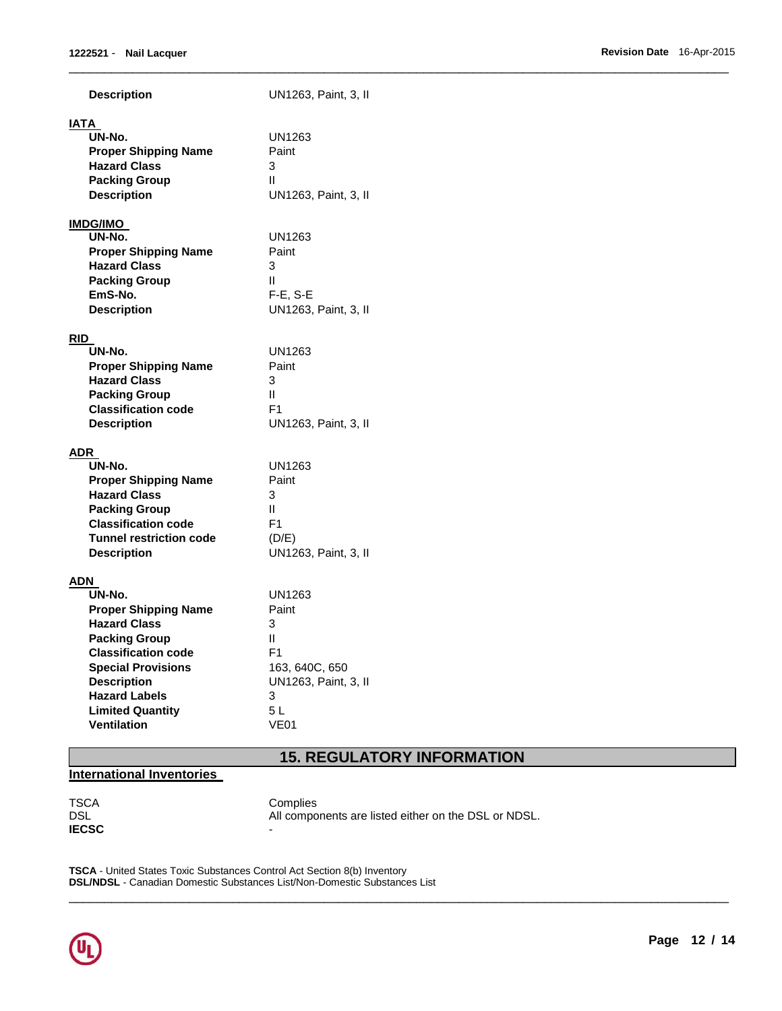| <b>Description</b>                                                                                                                                                                                                                             | UN1263, Paint, 3, II                                                                                     |
|------------------------------------------------------------------------------------------------------------------------------------------------------------------------------------------------------------------------------------------------|----------------------------------------------------------------------------------------------------------|
| IATA<br>UN-No.<br><b>Proper Shipping Name</b><br><b>Hazard Class</b><br><b>Packing Group</b><br><b>Description</b>                                                                                                                             | UN1263<br>Paint<br>3<br>Ш<br>UN1263, Paint, 3, II                                                        |
| <b>IMDG/IMO</b><br>UN-No.<br><b>Proper Shipping Name</b><br><b>Hazard Class</b><br><b>Packing Group</b><br>EmS-No.<br><b>Description</b>                                                                                                       | UN1263<br>Paint<br>3<br>Ш<br>$F-E$ , S-E<br>UN1263, Paint, 3, II                                         |
| <b>RID</b><br>UN-No.<br><b>Proper Shipping Name</b><br><b>Hazard Class</b><br><b>Packing Group</b><br><b>Classification code</b><br><b>Description</b>                                                                                         | UN1263<br>Paint<br>3<br>Ш<br>F <sub>1</sub><br>UN1263, Paint, 3, II                                      |
| ADR<br>UN-No.<br><b>Proper Shipping Name</b><br><b>Hazard Class</b><br><b>Packing Group</b><br><b>Classification code</b><br><b>Tunnel restriction code</b><br><b>Description</b>                                                              | UN1263<br>Paint<br>3<br>Ш<br>F <sub>1</sub><br>(D/E)<br>UN1263, Paint, 3, II                             |
| ADN<br>UN-No.<br><b>Proper Shipping Name</b><br><b>Hazard Class</b><br><b>Packing Group</b><br><b>Classification code</b><br><b>Special Provisions</b><br><b>Description</b><br><b>Hazard Labels</b><br><b>Limited Quantity</b><br>Ventilation | UN1263<br>Paint<br>3<br>Ш<br>F <sub>1</sub><br>163, 640C, 650<br>UN1263, Paint, 3, II<br>3<br>5L<br>VE01 |

# **15. REGULATORY INFORMATION**

\_\_\_\_\_\_\_\_\_\_\_\_\_\_\_\_\_\_\_\_\_\_\_\_\_\_\_\_\_\_\_\_\_\_\_\_\_\_\_\_\_\_\_\_\_\_\_\_\_\_\_\_\_\_\_\_\_\_\_\_\_\_\_\_\_\_\_\_\_\_\_\_\_\_\_\_\_\_\_\_\_\_\_\_\_\_\_\_\_\_\_\_\_

# **International Inventories**

**IECSC** -

TSCA Complies<br>DSL All compo All components are listed either on the DSL or NDSL.

\_\_\_\_\_\_\_\_\_\_\_\_\_\_\_\_\_\_\_\_\_\_\_\_\_\_\_\_\_\_\_\_\_\_\_\_\_\_\_\_\_\_\_\_\_\_\_\_\_\_\_\_\_\_\_\_\_\_\_\_\_\_\_\_\_\_\_\_\_\_\_\_\_\_\_\_\_\_\_\_\_\_\_\_\_\_\_\_\_\_\_\_\_

**TSCA** - United States Toxic Substances Control Act Section 8(b) Inventory **DSL/NDSL** - Canadian Domestic Substances List/Non-Domestic Substances List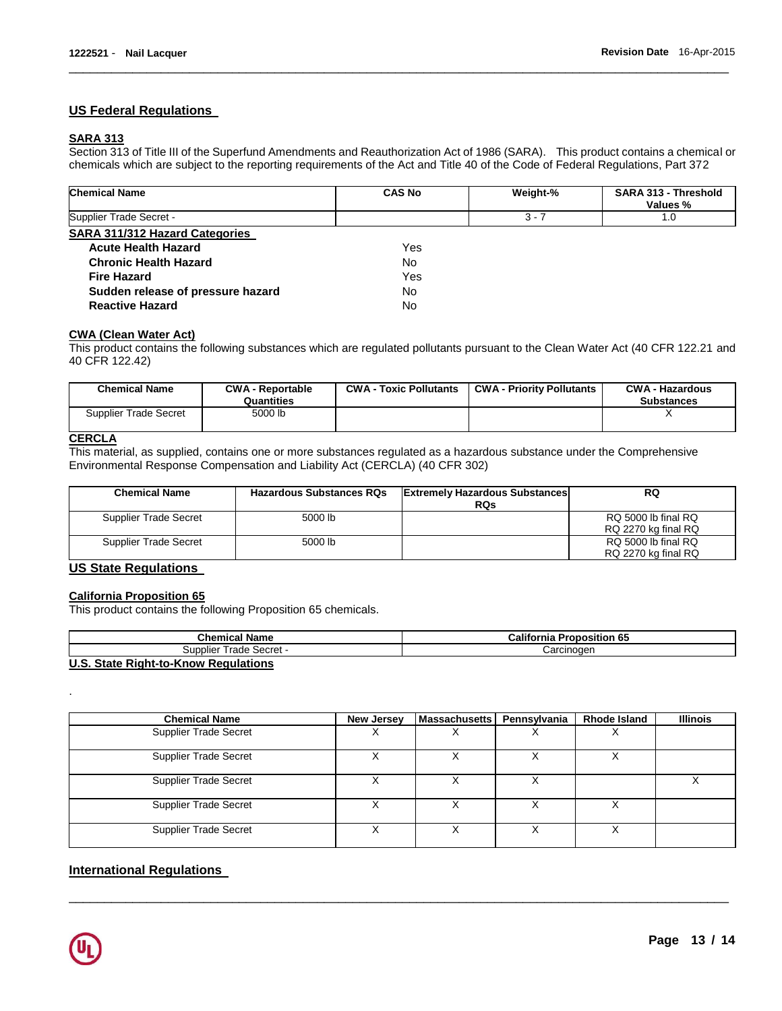#### **US Federal Regulations**

## **SARA 313**

Section 313 of Title III of the Superfund Amendments and Reauthorization Act of 1986 (SARA). This product contains a chemical or chemicals which are subject to the reporting requirements of the Act and Title 40 of the Code of Federal Regulations, Part 372

\_\_\_\_\_\_\_\_\_\_\_\_\_\_\_\_\_\_\_\_\_\_\_\_\_\_\_\_\_\_\_\_\_\_\_\_\_\_\_\_\_\_\_\_\_\_\_\_\_\_\_\_\_\_\_\_\_\_\_\_\_\_\_\_\_\_\_\_\_\_\_\_\_\_\_\_\_\_\_\_\_\_\_\_\_\_\_\_\_\_\_\_\_

| <b>Chemical Name</b>              | <b>CAS No</b> | Weight-% | SARA 313 - Threshold<br>Values % |
|-----------------------------------|---------------|----------|----------------------------------|
| Supplier Trade Secret -           |               | $3 - 7$  | 1.0                              |
| SARA 311/312 Hazard Categories    |               |          |                                  |
| <b>Acute Health Hazard</b>        | Yes           |          |                                  |
| <b>Chronic Health Hazard</b>      | No.           |          |                                  |
| <b>Fire Hazard</b>                | Yes           |          |                                  |
| Sudden release of pressure hazard | No.           |          |                                  |
| <b>Reactive Hazard</b>            | No.           |          |                                  |

#### **CWA (Clean Water Act)**

This product contains the following substances which are regulated pollutants pursuant to the Clean Water Act (40 CFR 122.21 and 40 CFR 122.42)

| <b>Chemical Name</b>  | <b>CWA - Reportable</b><br>Quantities | <b>CWA - Toxic Pollutants</b> | <b>CWA - Priority Pollutants</b> | <b>CWA - Hazardous</b><br><b>Substances</b> |
|-----------------------|---------------------------------------|-------------------------------|----------------------------------|---------------------------------------------|
| Supplier Trade Secret | 5000 lb                               |                               |                                  |                                             |

### **CERCLA**

This material, as supplied, contains one or more substances regulated as a hazardous substance under the Comprehensive Environmental Response Compensation and Liability Act (CERCLA) (40 CFR 302)

| <b>Chemical Name</b>  | <b>Hazardous Substances RQs</b> | <b>Extremely Hazardous Substances</b><br><b>RQs</b> | RQ                                         |
|-----------------------|---------------------------------|-----------------------------------------------------|--------------------------------------------|
| Supplier Trade Secret | 5000 lb                         |                                                     | RQ 5000 lb final RQ<br>RQ 2270 kg final RQ |
| Supplier Trade Secret | 5000 lb                         |                                                     | RQ 5000 lb final RQ<br>RQ 2270 kg final RQ |

## **US State Regulations**

#### **California Proposition 65**

This product contains the following Proposition 65 chemicals.

| <b>Chemical Name</b>                 | <b>California Proposition 65</b> |
|--------------------------------------|----------------------------------|
| Trade Secret -<br>Supplier           | Carcinoɑen                       |
| U.S. State Right-to-Know Regulations |                                  |

| <b>Chemical Name</b>         | New Jersey | Massachusetts | Pennsylvania     | <b>Rhode Island</b> | <b>Illinois</b> |
|------------------------------|------------|---------------|------------------|---------------------|-----------------|
| <b>Supplier Trade Secret</b> |            |               |                  |                     |                 |
| <b>Supplier Trade Secret</b> |            |               |                  |                     |                 |
| <b>Supplier Trade Secret</b> |            |               | $\check{ }$<br>⋏ |                     |                 |
| <b>Supplier Trade Secret</b> | X          |               | х                |                     |                 |
| Supplier Trade Secret        |            |               |                  |                     |                 |

\_\_\_\_\_\_\_\_\_\_\_\_\_\_\_\_\_\_\_\_\_\_\_\_\_\_\_\_\_\_\_\_\_\_\_\_\_\_\_\_\_\_\_\_\_\_\_\_\_\_\_\_\_\_\_\_\_\_\_\_\_\_\_\_\_\_\_\_\_\_\_\_\_\_\_\_\_\_\_\_\_\_\_\_\_\_\_\_\_\_\_\_\_

#### **International Regulations**



.